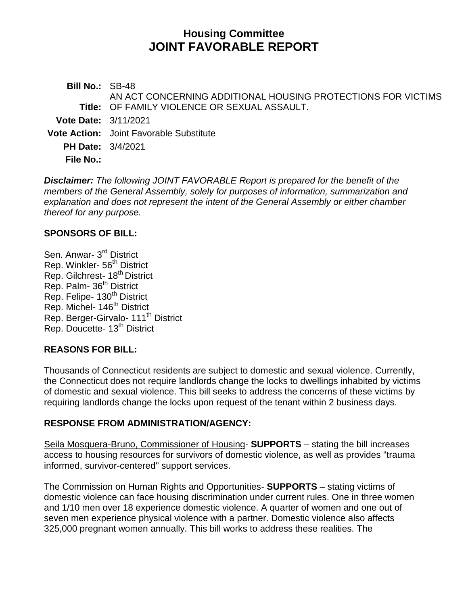# **Housing Committee JOINT FAVORABLE REPORT**

**Bill No.:** SB-48 **Title:** OF FAMILY VIOLENCE OR SEXUAL ASSAULT. AN ACT CONCERNING ADDITIONAL HOUSING PROTECTIONS FOR VICTIMS **Vote Date:** 3/11/2021 **Vote Action:** Joint Favorable Substitute **PH Date:** 3/4/2021 **File No.:**

*Disclaimer: The following JOINT FAVORABLE Report is prepared for the benefit of the members of the General Assembly, solely for purposes of information, summarization and explanation and does not represent the intent of the General Assembly or either chamber thereof for any purpose.*

#### **SPONSORS OF BILL:**

Sen. Anwar- 3<sup>rd</sup> District Rep. Winkler- 56<sup>th</sup> District Rep. Gilchrest- 18<sup>th</sup> District Rep. Palm- 36<sup>th</sup> District Rep. Felipe- 130<sup>th</sup> District Rep. Michel- 146<sup>th</sup> District Rep. Berger-Girvalo- 111<sup>th</sup> District Rep. Doucette- 13<sup>th</sup> District

## **REASONS FOR BILL:**

Thousands of Connecticut residents are subject to domestic and sexual violence. Currently, the Connecticut does not require landlords change the locks to dwellings inhabited by victims of domestic and sexual violence. This bill seeks to address the concerns of these victims by requiring landlords change the locks upon request of the tenant within 2 business days.

#### **RESPONSE FROM ADMINISTRATION/AGENCY:**

Seila Mosquera-Bruno, Commissioner of Housing- **SUPPORTS** – stating the bill increases access to housing resources for survivors of domestic violence, as well as provides "trauma informed, survivor-centered" support services.

The Commission on Human Rights and Opportunities- **SUPPORTS** – stating victims of domestic violence can face housing discrimination under current rules. One in three women and 1/10 men over 18 experience domestic violence. A quarter of women and one out of seven men experience physical violence with a partner. Domestic violence also affects 325,000 pregnant women annually. This bill works to address these realities. The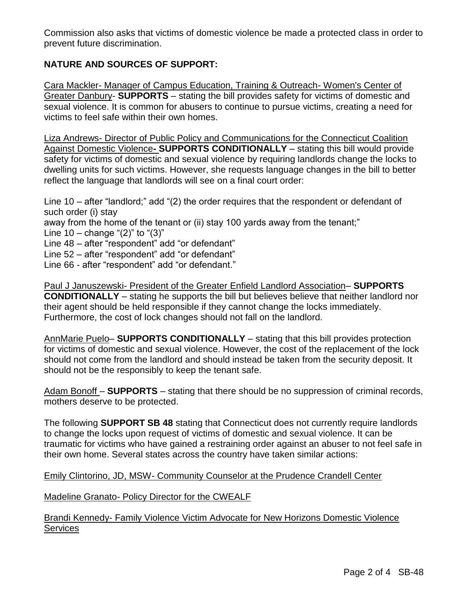Commission also asks that victims of domestic violence be made a protected class in order to prevent future discrimination.

## **NATURE AND SOURCES OF SUPPORT:**

Cara Mackler- Manager of Campus Education, Training & Outreach- Women's Center of Greater Danbury- **SUPPORTS** – stating the bill provides safety for victims of domestic and sexual violence. It is common for abusers to continue to pursue victims, creating a need for victims to feel safe within their own homes.

Liza Andrews- Director of Public Policy and Communications for the Connecticut Coalition Against Domestic Violence**- SUPPORTS CONDITIONALLY** – stating this bill would provide safety for victims of domestic and sexual violence by requiring landlords change the locks to dwelling units for such victims. However, she requests language changes in the bill to better reflect the language that landlords will see on a final court order:

Line 10 – after "landlord;" add "(2) the order requires that the respondent or defendant of such order (i) stay away from the home of the tenant or (ii) stay 100 yards away from the tenant;" Line  $10 - \text{change } ((2)$ " to " $(3)$ " Line 48 – after "respondent" add "or defendant" Line 52 – after "respondent" add "or defendant" Line 66 - after "respondent" add "or defendant."

Paul J Januszewski- President of the Greater Enfield Landlord Association– **SUPPORTS CONDITIONALLY** – stating he supports the bill but believes believe that neither landlord nor their agent should be held responsible if they cannot change the locks immediately. Furthermore, the cost of lock changes should not fall on the landlord.

AnnMarie Puelo– **SUPPORTS CONDITIONALLY** – stating that this bill provides protection for victims of domestic and sexual violence. However, the cost of the replacement of the lock should not come from the landlord and should instead be taken from the security deposit. It should not be the responsibly to keep the tenant safe.

Adam Bonoff – **SUPPORTS** – stating that there should be no suppression of criminal records, mothers deserve to be protected.

The following **SUPPORT SB 48** stating that Connecticut does not currently require landlords to change the locks upon request of victims of domestic and sexual violence. It can be traumatic for victims who have gained a restraining order against an abuser to not feel safe in their own home. Several states across the country have taken similar actions:

Emily Clintorino, JD, MSW- Community Counselor at the Prudence Crandell Center

Madeline Granato- Policy Director for the CWEALF

Brandi Kennedy- Family Violence Victim Advocate for New Horizons Domestic Violence **Services**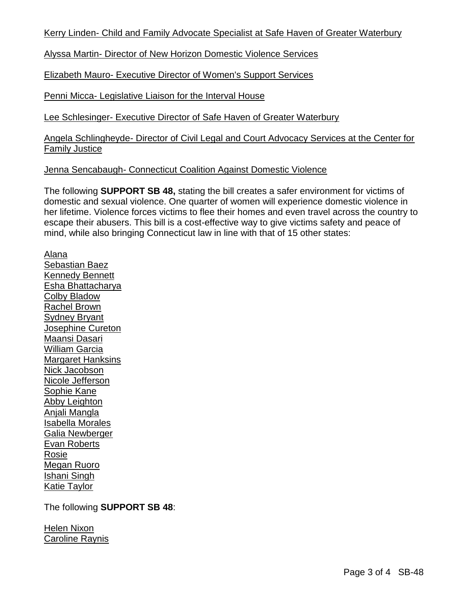Kerry Linden- Child and Family Advocate Specialist at Safe Haven of Greater Waterbury

Alyssa Martin- Director of New Horizon Domestic Violence Services

Elizabeth Mauro- Executive Director of Women's Support Services

Penni Micca- Legislative Liaison for the Interval House

Lee Schlesinger- Executive Director of Safe Haven of Greater Waterbury

Angela Schlingheyde- Director of Civil Legal and Court Advocacy Services at the Center for Family Justice

Jenna Sencabaugh- Connecticut Coalition Against Domestic Violence

The following **SUPPORT SB 48,** stating the bill creates a safer environment for victims of domestic and sexual violence. One quarter of women will experience domestic violence in her lifetime. Violence forces victims to flee their homes and even travel across the country to escape their abusers. This bill is a cost-effective way to give victims safety and peace of mind, while also bringing Connecticut law in line with that of 15 other states:

Alana Sebastian Baez Kennedy Bennett Esha Bhattacharya Colby Bladow Rachel Brown Sydney Bryant Josephine Cureton Maansi Dasari William Garcia Margaret Hanksins Nick Jacobson Nicole Jefferson Sophie Kane Abby Leighton Anjali Mangla Isabella Morales Galia Newberger Evan Roberts Rosie Megan Ruoro Ishani Singh Katie Taylor

The following **SUPPORT SB 48**:

Helen Nixon Caroline Raynis